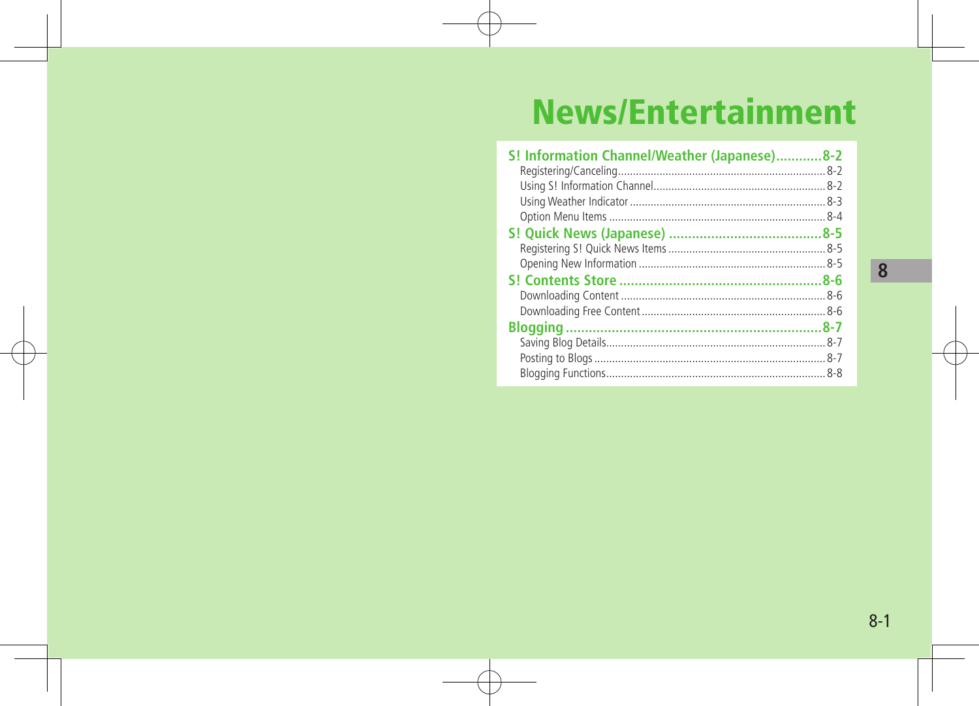## **News/Entertainment**

| S! Information Channel/Weather (Japanese)8-2 |  |
|----------------------------------------------|--|
|                                              |  |
|                                              |  |
|                                              |  |
|                                              |  |
|                                              |  |
|                                              |  |
|                                              |  |
|                                              |  |
|                                              |  |
|                                              |  |
|                                              |  |
|                                              |  |
|                                              |  |
|                                              |  |

 $\sqrt{8}$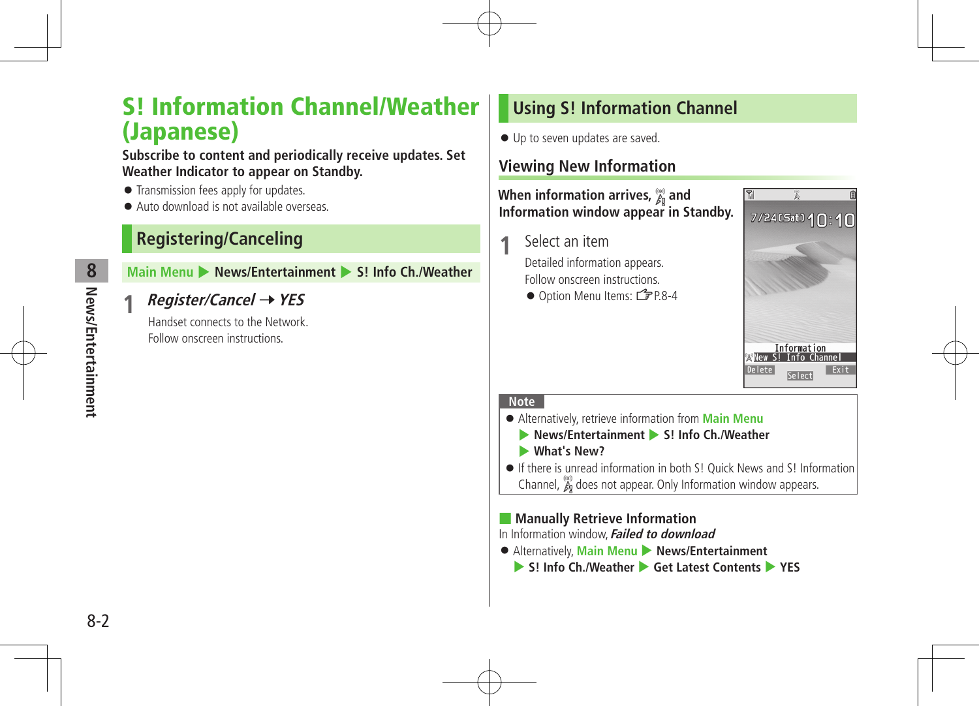## S! Information Channel/Weather (Japanese)

#### **Subscribe to content and periodically receive updates. Set Weather Indicator to appear on Standby.**

- **•** Transmission fees apply for updates.
- Auto download is not available overseas.

## **Registering/Canceling**

## **Main Menu** 4 **News/Entertainment** 4 **S! Info Ch./Weather**

## **1 Register/Cancel** <sup>7</sup>**YES**

Handset connects to the Network. Follow onscreen instructions.

## **Using S! Information Channel**

 $\bullet$  Up to seven updates are saved.

## **Viewing New Information**

#### **When information arrives,**  $\frac{m}{60}$  **and Information window appear in Standby.**

**1** Select an item

Detailed information appears. Follow onscreen instructions.

● Option Menu Items: <del>掌</del>P.8-4



#### **Note**

- Alternatively, retrieve information from **Main Menu**
	- 4 **News/Entertainment** 4 **S! Info Ch./Weather**
	- 4 **What's New?**
- If there is unread information in both S! Quick News and S! Information Channel,  $\chi_0$  does not appear. Only Information window appears.

## ■ **Manually Retrieve Information**

In Information window,**Failed to download**

- Alternatively, **Main Menu** 4 **News/Entertainment**
	- ▶ S! Info Ch./Weather ▶ Get Latest Contents ▶ YES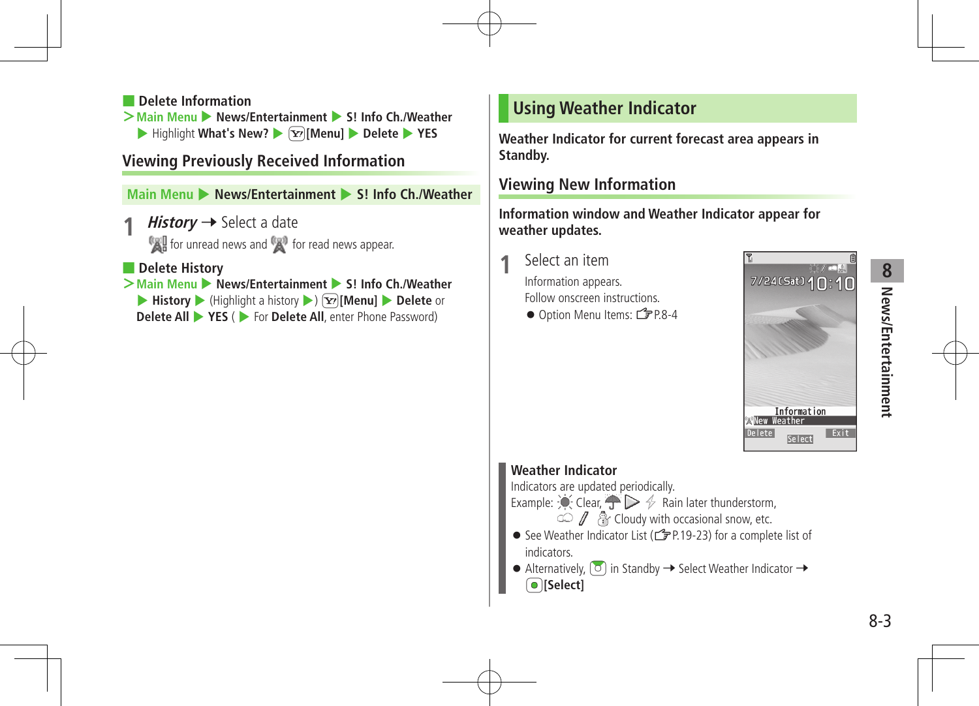## **8** News/Entertainment **News/Entertainment**

#### ■ **Delete Information**

 $>$ **Main Menu ▶ News/Entertainment ▶ S! Info Ch./Weather** ▶ Highlight What's New? ▶ **\xxx>** Menul ▶ Delete ▶ YES

## **Viewing Previously Received Information**

**Main Menu** 4 **News/Entertainment** 4 **S! Info Ch./Weather**

- $History \rightarrow$  Select a date for unread news and  $f(x)$  for read news appear.
- **Delete History**

**>Main Menu** ▶ **News/Entertainment** ▶ S! Info Ch./Weather ▶ **History** ▶ (Highlight a history ▶)  $\boxed{\mathbf{x}}$  [Menu] ▶ Delete or **Delete All**  $\triangleright$  **<b>YES** ( $\triangleright$  For **Delete All**, enter Phone Password)

## **Using Weather Indicator**

**Weather Indicator for current forecast area appears in Standby.**

## **Viewing New Information**

**Information window and Weather Indicator appear for weather updates.**

**1** Select an item

Information appears. Follow onscreen instructions.

● Option Menu Items:  $2P.8-4$ 



## **Weather Indicator**

Indicators are updated periodically.

Example:  $\bullet$  Clear,  $\bullet$   $\triangleright$   $\rightsquigarrow$  Rain later thunderstorm,

 $\mathbb Z$   $\mathbb R$  Cloudy with occasional snow, etc.

- See Weather Indicator List ( $2P.19-23$ ) for a complete list of **indicators**
- $\bullet$  Alternatively  $\boxed{0}$  in Standby  $\rightarrow$  Select Weather Indicator  $\rightarrow$  $\bigcirc$  [Select]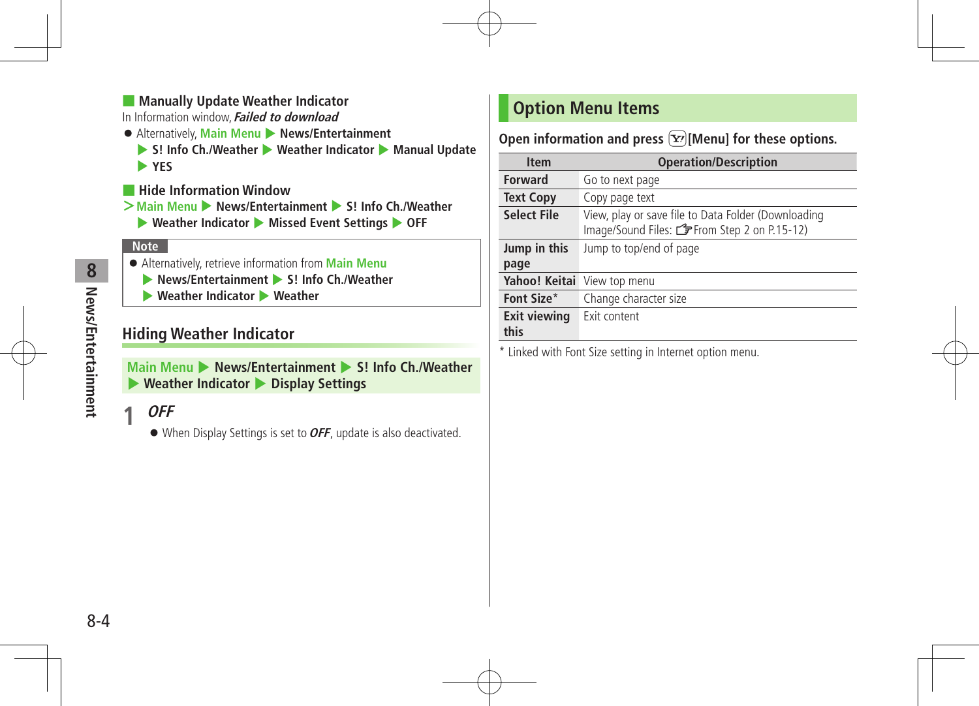## ■ **Manually Update Weather Indicator**

In Information window,**Failed to download**

- Alternatively, **Main Menu** 4 **News/Entertainment**
	- ▶ S! Info Ch./Weather ▶ Weather Indicator ▶ Manual Update 4 **YES**
- **Hide Information Window**
- **>Main Menu** 4 **News/Entertainment** 4 **S! Info Ch./Weather**
	- 4 **Weather Indicator** 4 **Missed Event Settings** 4 **OFF**

## **Note**

- Alternatively, retrieve information from **Main Menu**
	- 4 **News/Entertainment** 4 **S! Info Ch./Weather**
	- 4 **Weather Indicator** 4 **Weather**

## **Hiding Weather Indicator**

**Main Menu > News/Entertainment > S! Info Ch /Weather** 4 **Weather Indicator** 4 **Display Settings**

## **1 OFF**

When Display Settings is set to**OFF**, update is also deactivated.

## **Option Menu Items**

Open information and press  $\boxed{\mathbf{Y}}$  [Menu] for these options.

| <b>Item</b>         | <b>Operation/Description</b>                                                                              |
|---------------------|-----------------------------------------------------------------------------------------------------------|
| <b>Forward</b>      | Go to next page                                                                                           |
| <b>Text Copy</b>    | Copy page text                                                                                            |
| <b>Select File</b>  | View, play or save file to Data Folder (Downloading<br>Image/Sound Files: <a>From Step 2 on P.15-12</a> ) |
| Jump in this        | Jump to top/end of page                                                                                   |
| page                |                                                                                                           |
|                     | Yahoo! Keitai View top menu                                                                               |
| Font Size*          | Change character size                                                                                     |
| <b>Exit viewing</b> | Exit content                                                                                              |
| this                |                                                                                                           |

\* Linked with Font Size setting in Internet option menu.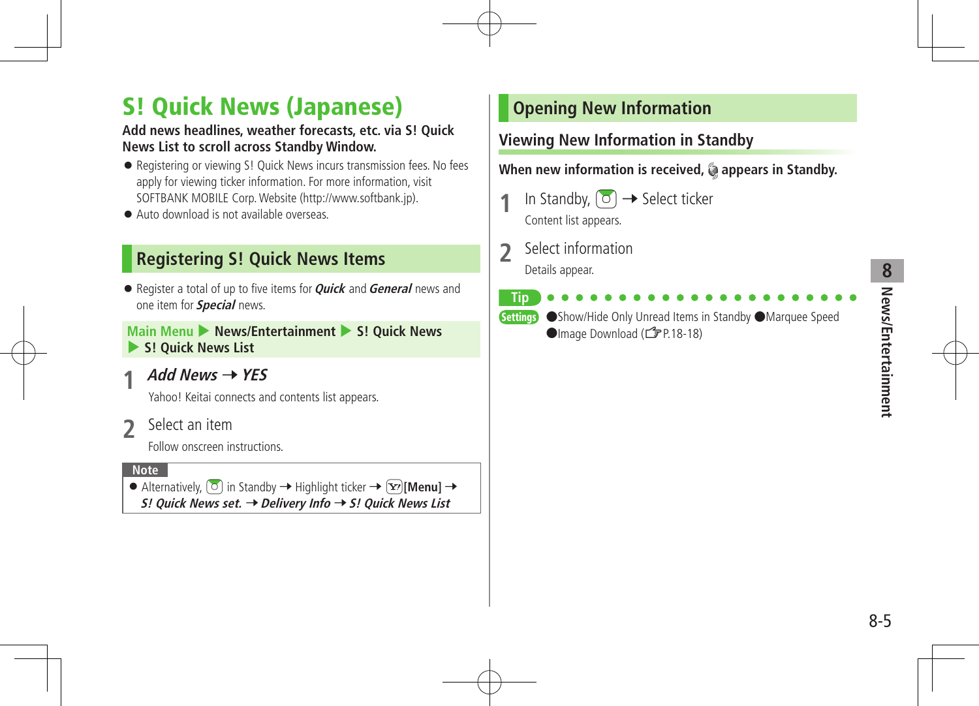# **8** News/Entertainment **News/Entertainment**

## S! Quick News (Japanese)

## **Add news headlines, weather forecasts, etc. via S! Quick News List to scroll across Standby Window.**

- Registering or viewing S! Quick News incurs transmission fees. No fees apply for viewing ticker information. For more information, visit SOFTBANK MOBILE Corp.Website (http://www.softbank.jp).
- Auto download is not available overseas.

## **Registering S! Quick News Items**

● Register a total of up to five items for **Quick** and **General** news and one item for **Special** news.

## **Main Menu > News/Entertainment > S! Quick News** 4 **S! Quick News List**

 $Add News \rightarrow YES$ 

Yahoo! Keitai connects and contents list appears.

**2** Select an item

Follow onscreen instructions.

#### **Note**

 $\bullet$  Alternatively,  $\boxed{\circ}$  in Standby  $\rightarrow$  Highlight ticker  $\rightarrow \boxed{\circ}$  [Menu]  $\rightarrow$ **S! Quick News set.** 7**Delivery Info** 7**S! Quick News List**

## **Opening New Information**

## **Viewing New Information in Standby**

When new information is received, @ appears in Standby.

- In Standby,  $\sigma$   $\rightarrow$  Select ticker Content list appears.
- **2** Select information Details appear.

**Tip**

Settings ●Show/Hide Only Unread Items in Standby ●Marquee Speed ●Image Download (<del>△</del>P.18-18)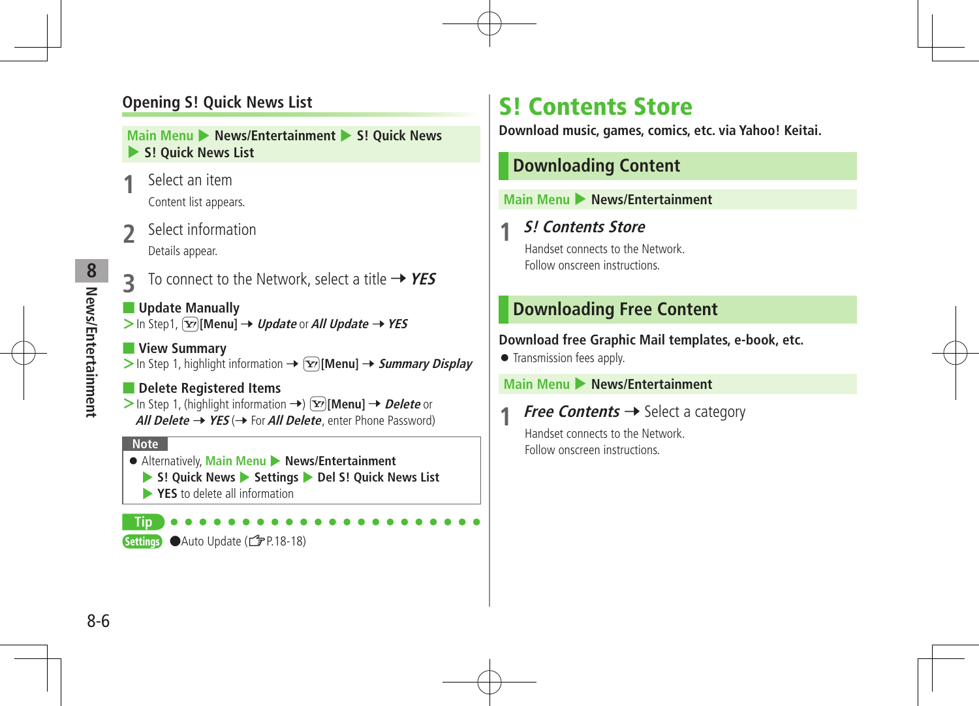## **Opening S! Quick News List**

#### **Main Menu** 4 **News/Entertainment** 4 **S! Quick News**  4 **S! Quick News List**

- **Select an item** Content list appears.
- **2** Select information Details appear.

- **3** To connect to the Network, select a title  $\rightarrow$  YES
- **Update Manually**  $>$  In Step1,  $\boxed{\mathbf{x}}$  [Menu]  $\rightarrow$  *Update* or *All Update*  $\rightarrow$  YES
- **View Summary**  $>$  In Step 1, highlight information  $\rightarrow \boxed{\mathbf{x}}$  [Menu]  $\rightarrow$  *Summary Display*
- **Delete Registered Items**  $>$  In Step 1, (highlight information  $\rightarrow$ )  $\boxed{\mathbf{x}}$  [Menu]  $\rightarrow$  *Delete* or **All Delete**  $\rightarrow$  **YES** ( $\rightarrow$  For **All Delete**, enter Phone Password)

#### **Note**

**Tip**

 Alternatively, **Main Menu** 4 **News/Entertainment** 4 **S! Quick News** 4 **Settings** 4 **Del S! Quick News List EXES** to delete all information

## S! Contents Store

**Download music, games, comics, etc. via Yahoo! Keitai.**

## **Downloading Content**

#### **Main Menu • News/Entertainment**

## **1 S! Contents Store**

Handset connects to the Network. Follow onscreen instructions.

## **Downloading Free Content**

#### **Download free Graphic Mail templates, e-book, etc.**

**Transmission fees apply.** 

#### **Main Menu** 4 **News/Entertainment**

**Free Contents**  $\rightarrow$  Select a category

Handset connects to the Network. Follow onscreen instructions.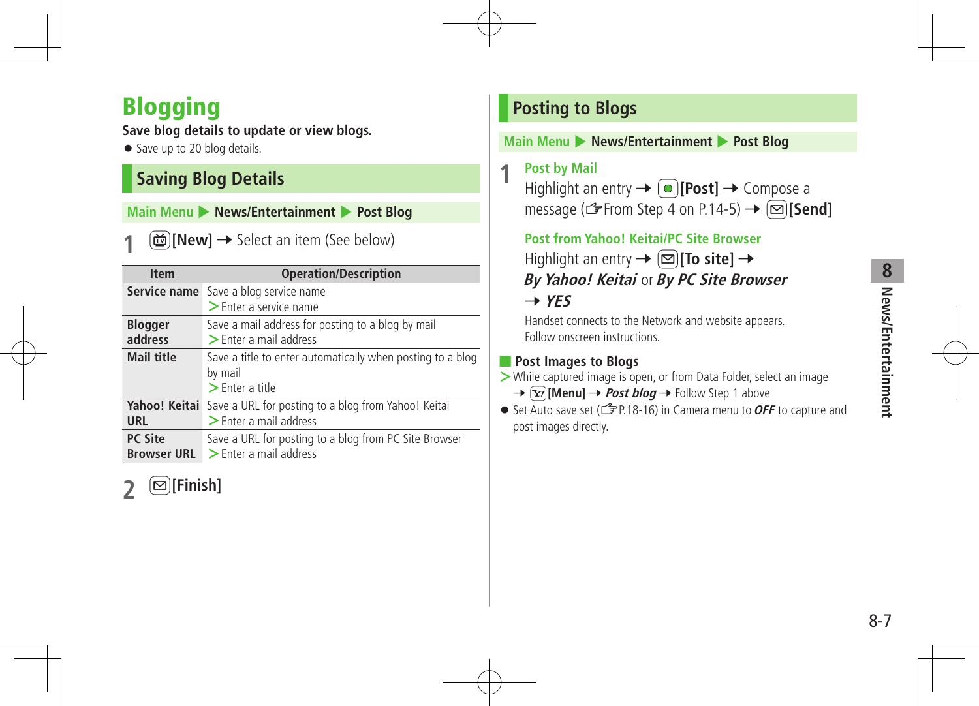## Blogging

**Save blog details to update or view blogs.**

• Save up to 20 blog details.

## **Saving Blog Details**

**Main Menu > News/Entertainment > Post Blog** 

**1** <sup>1</sup>**[New]** <sup>7</sup> Select an item (See below)

| <b>Item</b>               | <b>Operation/Description</b>                                           |
|---------------------------|------------------------------------------------------------------------|
| <b>Service name</b>       | Save a blog service name<br>$\blacktriangleright$ Enter a service name |
|                           |                                                                        |
| <b>Blogger</b><br>address | Save a mail address for posting to a blog by mail                      |
|                           | $\triangleright$ Enter a mail address                                  |
| <b>Mail title</b>         | Save a title to enter automatically when posting to a blog             |
|                           | by mail                                                                |
|                           | $\geq$ Enter a title                                                   |
|                           | Yahoo! Keitai Save a URL for posting to a blog from Yahoo! Keitai      |
| URL                       | $\geq$ Enter a mail address                                            |
| <b>PC Site</b>            | Save a URL for posting to a blog from PC Site Browser                  |
| <b>Browser URL</b>        | $\geq$ Enter a mail address                                            |

**2** <sup>A</sup>**[Finish]**

## **Posting to Blogs**

#### **Main Menu > News/Entertainment > Post Blog**

**1 Post by Mail**

Highlight an entry → **[●][Post]** → Compose a message ( $\mathcal{F}$ From Step 4 on P.14-5)  $\rightarrow \Box$  [Send]

**Post from Yahoo! Keitai/PC Site Browser** Highlight an entry → **∞ To site**] →

**By Yahoo! Keitai** or **By PC Site Browser**  $\rightarrow$  YFS

Handset connects to the Network and website appears. Follow onscreen instructions.

## ■ **Post Images to Blogs**

- **>**While captured image is open, or from Data Folder, select an image
	- $\rightarrow$   $\boxed{\mathbf{x}}$ **[Menu]**  $\rightarrow$  *Post blog*  $\rightarrow$  Follow Step 1 above
- Set Auto save set ( $f$  P.18-16) in Camera menu to **OFF** to capture and post images directly.